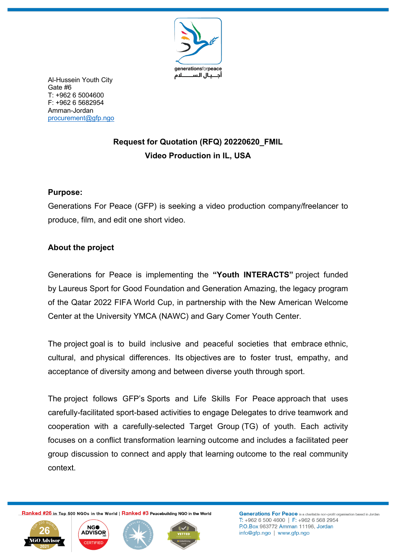

Al-Hussein Youth City Gate #6 T: +962 6 5004600 F: +962 6 5682954 Amman-Jordan procurement@gfp.ngo

# **Request for Quotation (RFQ) 20220620\_FMIL Video Production in IL, USA**

### **Purpose:**

Generations For Peace (GFP) is seeking a video production company/freelancer to produce, film, and edit one short video.

### **About the project**

Generations for Peace is implementing the **"Youth INTERACTS"** project funded by Laureus Sport for Good Foundation and Generation Amazing, the legacy program of the Qatar 2022 FIFA World Cup, in partnership with the New American Welcome Center at the University YMCA (NAWC) and Gary Comer Youth Center.

The project goal is to build inclusive and peaceful societies that embrace ethnic, cultural, and physical differences. Its objectives are to foster trust, empathy, and acceptance of diversity among and between diverse youth through sport.

The project follows GFP's Sports and Life Skills For Peace approach that uses carefully-facilitated sport-based activities to engage Delegates to drive teamwork and cooperation with a carefully-selected Target Group (TG) of youth. Each activity focuses on a conflict transformation learning outcome and includes a facilitated peer group discussion to connect and apply that learning outcome to the real community context.

Ranked #26 in Top 500 NGOs in the World | Ranked #3 Peacebuilding NGO in the World







Generations For Peace is a charitable non-profit organisation based in Jordan T: +962 6 500 4600 | F: +962 6 568 2954 P.O.Box 963772 Amman 11196, Jordan info@gfp.ngo | www.gfp.ngo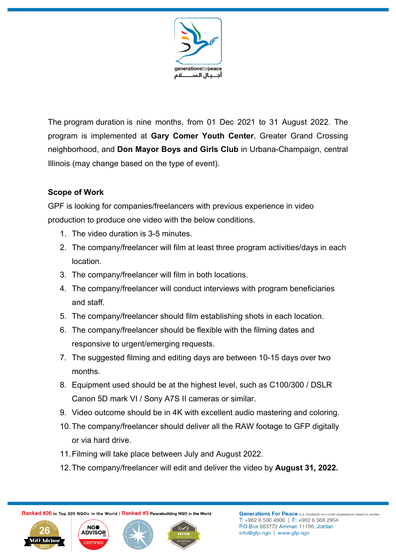

The program duration is nine months, from 01 Dec 2021 to 31 August 2022. The program is implemented at **Gary Comer Youth Center**, Greater Grand Crossing neighborhood, and **Don Mayor Boys and Girls Club** in Urbana-Champaign, central Illinois (may change based on the type of event).

## **Scope of Work**

GPF is looking for companies/freelancers with previous experience in video production to produce one video with the below conditions.

- 1. The video duration is 3-5 minutes.
- 2. The company/freelancer will film at least three program activities/days in each location.
- 3. The company/freelancer will film in both locations.
- 4. The company/freelancer will conduct interviews with program beneficiaries and staff.
- 5. The company/freelancer should film establishing shots in each location.
- 6. The company/freelancer should be flexible with the filming dates and responsive to urgent/emerging requests.
- 7. The suggested filming and editing days are between 10-15 days over two months.
- 8. Equipment used should be at the highest level, such as C100/300 / DSLR Canon 5D mark VI / Sony A7S II cameras or similar.
- 9. Video outcome should be in 4K with excellent audio mastering and coloring.
- 10.The company/freelancer should deliver all the RAW footage to GFP digitally or via hard drive.
- 11.Filming will take place between July and August 2022.
- 12.The company/freelancer will edit and deliver the video by **August 31, 2022.**

Ranked #26 in Top 500 NGOs in the World | Ranked #3 Peacebuilding NGO in the World